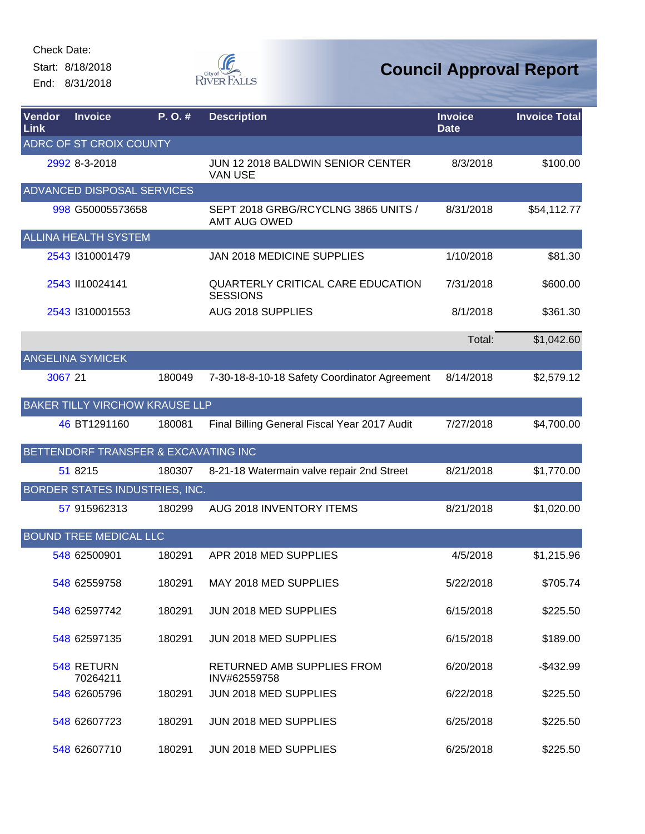Start: 8/18/2018 End: 8/31/2018



| Vendor<br>Link | <b>Invoice</b>                        | P.O.#  | <b>Description</b>                                          | <b>Invoice</b><br><b>Date</b> | <b>Invoice Total</b> |
|----------------|---------------------------------------|--------|-------------------------------------------------------------|-------------------------------|----------------------|
|                | ADRC OF ST CROIX COUNTY               |        |                                                             |                               |                      |
|                | 2992 8-3-2018                         |        | JUN 12 2018 BALDWIN SENIOR CENTER<br><b>VAN USE</b>         | 8/3/2018                      | \$100.00             |
|                | ADVANCED DISPOSAL SERVICES            |        |                                                             |                               |                      |
|                | 998 G50005573658                      |        | SEPT 2018 GRBG/RCYCLNG 3865 UNITS /<br>AMT AUG OWED         | 8/31/2018                     | \$54,112.77          |
|                | <b>ALLINA HEALTH SYSTEM</b>           |        |                                                             |                               |                      |
|                | 2543 1310001479                       |        | <b>JAN 2018 MEDICINE SUPPLIES</b>                           | 1/10/2018                     | \$81.30              |
|                | 2543 II10024141                       |        | <b>QUARTERLY CRITICAL CARE EDUCATION</b><br><b>SESSIONS</b> | 7/31/2018                     | \$600.00             |
|                | 2543 1310001553                       |        | AUG 2018 SUPPLIES                                           | 8/1/2018                      | \$361.30             |
|                |                                       |        |                                                             | Total:                        | \$1,042.60           |
|                | <b>ANGELINA SYMICEK</b>               |        |                                                             |                               |                      |
| 3067 21        |                                       | 180049 | 7-30-18-8-10-18 Safety Coordinator Agreement                | 8/14/2018                     | \$2,579.12           |
|                | <b>BAKER TILLY VIRCHOW KRAUSE LLP</b> |        |                                                             |                               |                      |
|                | 46 BT1291160                          | 180081 | Final Billing General Fiscal Year 2017 Audit                | 7/27/2018                     | \$4,700.00           |
|                | BETTENDORF TRANSFER & EXCAVATING INC  |        |                                                             |                               |                      |
|                | 51 8215                               | 180307 | 8-21-18 Watermain valve repair 2nd Street                   | 8/21/2018                     | \$1,770.00           |
|                | BORDER STATES INDUSTRIES, INC.        |        |                                                             |                               |                      |
|                | 57 915962313                          | 180299 | AUG 2018 INVENTORY ITEMS                                    | 8/21/2018                     | \$1,020.00           |
|                | BOUND TREE MEDICAL LLC                |        |                                                             |                               |                      |
|                | 548 62500901                          | 180291 | APR 2018 MED SUPPLIES                                       | 4/5/2018                      | \$1,215.96           |
|                | 548 62559758                          | 180291 | MAY 2018 MED SUPPLIES                                       | 5/22/2018                     | \$705.74             |
|                | 548 62597742                          | 180291 | JUN 2018 MED SUPPLIES                                       | 6/15/2018                     | \$225.50             |
|                | 548 62597135                          | 180291 | JUN 2018 MED SUPPLIES                                       | 6/15/2018                     | \$189.00             |
|                | 548 RETURN<br>70264211                |        | RETURNED AMB SUPPLIES FROM<br>INV#62559758                  | 6/20/2018                     | $-$432.99$           |
|                | 548 62605796                          | 180291 | JUN 2018 MED SUPPLIES                                       | 6/22/2018                     | \$225.50             |
|                | 548 62607723                          | 180291 | JUN 2018 MED SUPPLIES                                       | 6/25/2018                     | \$225.50             |
|                | 548 62607710                          | 180291 | JUN 2018 MED SUPPLIES                                       | 6/25/2018                     | \$225.50             |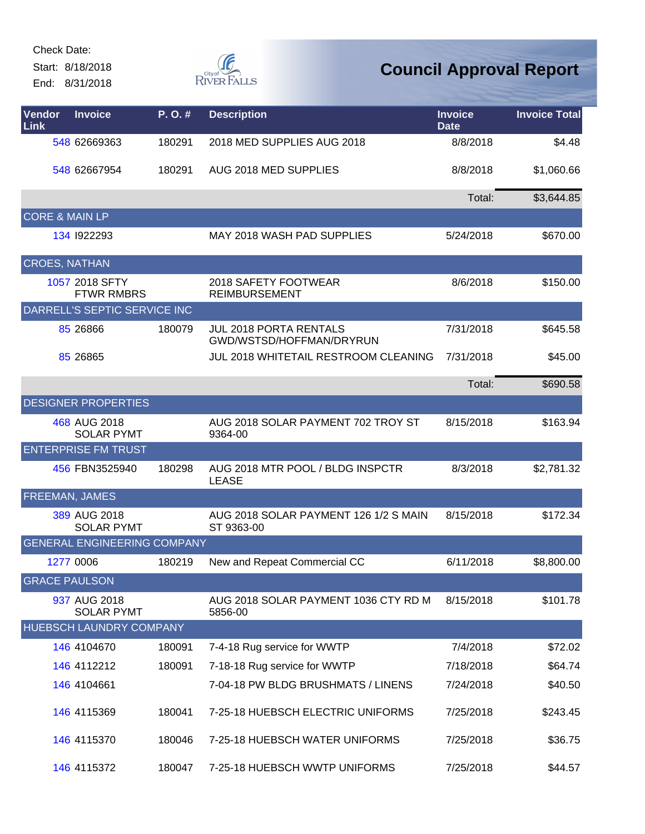Start: 8/18/2018

End: 8/31/2018



| Vendor<br><b>Link</b>     | <b>Invoice</b>                      | P. O. # | <b>Description</b>                                        | <b>Invoice</b><br><b>Date</b> | <b>Invoice Total</b> |
|---------------------------|-------------------------------------|---------|-----------------------------------------------------------|-------------------------------|----------------------|
|                           | 548 62669363                        | 180291  | 2018 MED SUPPLIES AUG 2018                                | 8/8/2018                      | \$4.48               |
|                           | 548 62667954                        | 180291  | AUG 2018 MED SUPPLIES                                     | 8/8/2018                      | \$1,060.66           |
|                           |                                     |         |                                                           | Total:                        | \$3,644.85           |
| <b>CORE &amp; MAIN LP</b> |                                     |         |                                                           |                               |                      |
|                           | 134 1922293                         |         | MAY 2018 WASH PAD SUPPLIES                                | 5/24/2018                     | \$670.00             |
| <b>CROES, NATHAN</b>      |                                     |         |                                                           |                               |                      |
|                           | 1057 2018 SFTY<br><b>FTWR RMBRS</b> |         | 2018 SAFETY FOOTWEAR<br><b>REIMBURSEMENT</b>              | 8/6/2018                      | \$150.00             |
|                           | DARRELL'S SEPTIC SERVICE INC        |         |                                                           |                               |                      |
|                           | 85 26866                            | 180079  | <b>JUL 2018 PORTA RENTALS</b><br>GWD/WSTSD/HOFFMAN/DRYRUN | 7/31/2018                     | \$645.58             |
|                           | 85 26865                            |         | JUL 2018 WHITETAIL RESTROOM CLEANING                      | 7/31/2018                     | \$45.00              |
|                           |                                     |         |                                                           | Total:                        | \$690.58             |
|                           | <b>DESIGNER PROPERTIES</b>          |         |                                                           |                               |                      |
|                           | 468 AUG 2018<br><b>SOLAR PYMT</b>   |         | AUG 2018 SOLAR PAYMENT 702 TROY ST<br>9364-00             | 8/15/2018                     | \$163.94             |
|                           | <b>ENTERPRISE FM TRUST</b>          |         |                                                           |                               |                      |
|                           | 456 FBN3525940                      | 180298  | AUG 2018 MTR POOL / BLDG INSPCTR<br><b>LEASE</b>          | 8/3/2018                      | \$2,781.32           |
| <b>FREEMAN, JAMES</b>     |                                     |         |                                                           |                               |                      |
|                           | 389 AUG 2018<br><b>SOLAR PYMT</b>   |         | AUG 2018 SOLAR PAYMENT 126 1/2 S MAIN<br>ST 9363-00       | 8/15/2018                     | \$172.34             |
|                           | <b>GENERAL ENGINEERING COMPANY</b>  |         |                                                           |                               |                      |
|                           | 1277 0006                           | 180219  | New and Repeat Commercial CC                              | 6/11/2018                     | \$8,800.00           |
| <b>GRACE PAULSON</b>      |                                     |         |                                                           |                               |                      |
|                           | 937 AUG 2018<br><b>SOLAR PYMT</b>   |         | AUG 2018 SOLAR PAYMENT 1036 CTY RD M<br>5856-00           | 8/15/2018                     | \$101.78             |
|                           | HUEBSCH LAUNDRY COMPANY             |         |                                                           |                               |                      |
|                           | 146 4104670                         | 180091  | 7-4-18 Rug service for WWTP                               | 7/4/2018                      | \$72.02              |
|                           | 146 4112212                         | 180091  | 7-18-18 Rug service for WWTP                              | 7/18/2018                     | \$64.74              |
|                           | 146 4104661                         |         | 7-04-18 PW BLDG BRUSHMATS / LINENS                        | 7/24/2018                     | \$40.50              |
|                           | 146 4115369                         | 180041  | 7-25-18 HUEBSCH ELECTRIC UNIFORMS                         | 7/25/2018                     | \$243.45             |
|                           | 146 4115370                         | 180046  | 7-25-18 HUEBSCH WATER UNIFORMS                            | 7/25/2018                     | \$36.75              |
|                           | 146 4115372                         | 180047  | 7-25-18 HUEBSCH WWTP UNIFORMS                             | 7/25/2018                     | \$44.57              |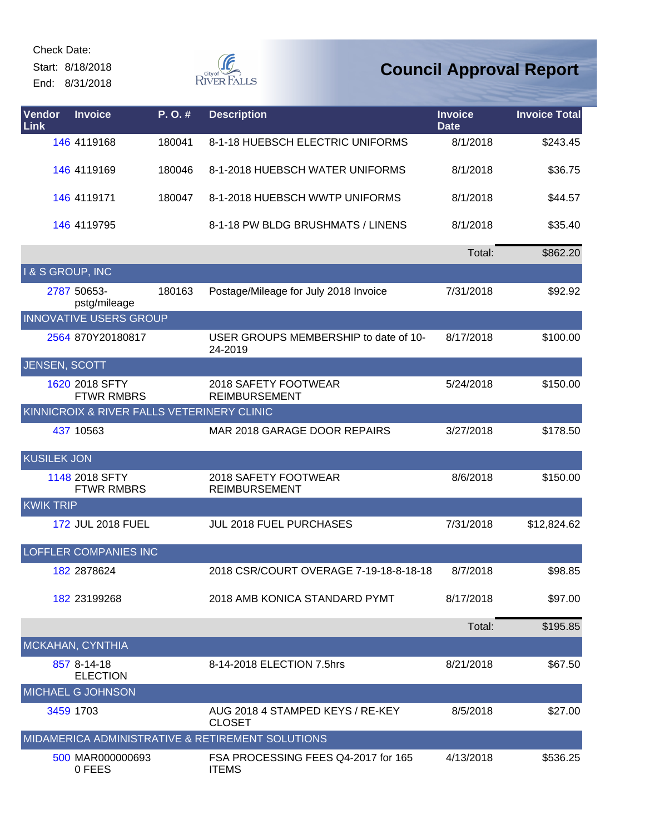Start: 8/18/2018





| Vendor<br>Link     | <b>Invoice</b>                             | P. O. # | <b>Description</b>                                  | <b>Invoice</b><br><b>Date</b> | <b>Invoice Total</b> |
|--------------------|--------------------------------------------|---------|-----------------------------------------------------|-------------------------------|----------------------|
|                    | 146 4119168                                | 180041  | 8-1-18 HUEBSCH ELECTRIC UNIFORMS                    | 8/1/2018                      | \$243.45             |
|                    | 146 4119169                                | 180046  | 8-1-2018 HUEBSCH WATER UNIFORMS                     | 8/1/2018                      | \$36.75              |
|                    | 146 4119171                                | 180047  | 8-1-2018 HUEBSCH WWTP UNIFORMS                      | 8/1/2018                      | \$44.57              |
|                    | 146 4119795                                |         | 8-1-18 PW BLDG BRUSHMATS / LINENS                   | 8/1/2018                      | \$35.40              |
|                    |                                            |         |                                                     | Total:                        | \$862.20             |
| I & S GROUP, INC   |                                            |         |                                                     |                               |                      |
|                    | 2787 50653-<br>pstg/mileage                | 180163  | Postage/Mileage for July 2018 Invoice               | 7/31/2018                     | \$92.92              |
|                    | <b>INNOVATIVE USERS GROUP</b>              |         |                                                     |                               |                      |
|                    | 2564 870Y20180817                          |         | USER GROUPS MEMBERSHIP to date of 10-<br>24-2019    | 8/17/2018                     | \$100.00             |
| JENSEN, SCOTT      |                                            |         |                                                     |                               |                      |
|                    | 1620 2018 SFTY<br><b>FTWR RMBRS</b>        |         | 2018 SAFETY FOOTWEAR<br><b>REIMBURSEMENT</b>        | 5/24/2018                     | \$150.00             |
|                    | KINNICROIX & RIVER FALLS VETERINERY CLINIC |         |                                                     |                               |                      |
|                    | 437 10563                                  |         | MAR 2018 GARAGE DOOR REPAIRS                        | 3/27/2018                     | \$178.50             |
| <b>KUSILEK JON</b> |                                            |         |                                                     |                               |                      |
|                    | 1148 2018 SFTY<br><b>FTWR RMBRS</b>        |         | 2018 SAFETY FOOTWEAR<br><b>REIMBURSEMENT</b>        | 8/6/2018                      | \$150.00             |
| <b>KWIK TRIP</b>   |                                            |         |                                                     |                               |                      |
|                    | 172 JUL 2018 FUEL                          |         | <b>JUL 2018 FUEL PURCHASES</b>                      | 7/31/2018                     | \$12,824.62          |
|                    | <b>LOFFLER COMPANIES INC</b>               |         |                                                     |                               |                      |
|                    | 182 2878624                                |         | 2018 CSR/COURT OVERAGE 7-19-18-8-18-18              | 8/7/2018                      | \$98.85              |
|                    | 182 23199268                               |         | 2018 AMB KONICA STANDARD PYMT                       | 8/17/2018                     | \$97.00              |
|                    |                                            |         |                                                     | Total:                        | \$195.85             |
|                    | MCKAHAN, CYNTHIA                           |         |                                                     |                               |                      |
|                    | 857 8-14-18<br><b>ELECTION</b>             |         | 8-14-2018 ELECTION 7.5hrs                           | 8/21/2018                     | \$67.50              |
|                    | MICHAEL G JOHNSON                          |         |                                                     |                               |                      |
|                    | 3459 1703                                  |         | AUG 2018 4 STAMPED KEYS / RE-KEY<br><b>CLOSET</b>   | 8/5/2018                      | \$27.00              |
|                    |                                            |         | MIDAMERICA ADMINISTRATIVE & RETIREMENT SOLUTIONS    |                               |                      |
|                    | 500 MAR000000693<br>0 FEES                 |         | FSA PROCESSING FEES Q4-2017 for 165<br><b>ITEMS</b> | 4/13/2018                     | \$536.25             |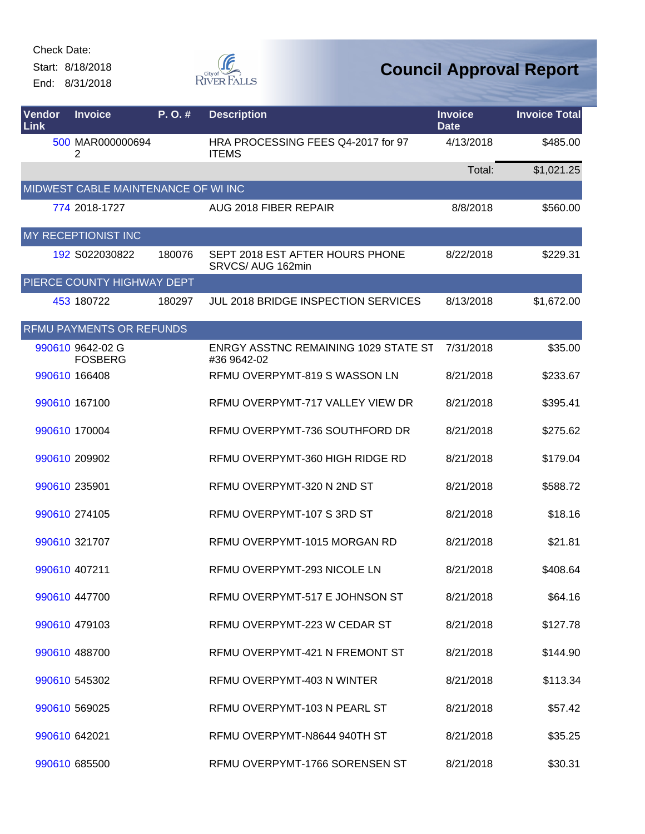Start: 8/18/2018 End: 8/31/2018



| Vendor<br>Link | <b>Invoice</b>                      | P.O.#  | <b>Description</b>                                         | <b>Invoice</b><br><b>Date</b> | <b>Invoice Total</b> |
|----------------|-------------------------------------|--------|------------------------------------------------------------|-------------------------------|----------------------|
|                | 500 MAR000000694<br>2               |        | HRA PROCESSING FEES Q4-2017 for 97<br><b>ITEMS</b>         | 4/13/2018                     | \$485.00             |
|                |                                     |        |                                                            | Total:                        | \$1,021.25           |
|                | MIDWEST CABLE MAINTENANCE OF WI INC |        |                                                            |                               |                      |
|                | 774 2018-1727                       |        | AUG 2018 FIBER REPAIR                                      | 8/8/2018                      | \$560.00             |
|                | MY RECEPTIONIST INC                 |        |                                                            |                               |                      |
|                | 192 S022030822                      | 180076 | SEPT 2018 EST AFTER HOURS PHONE<br>SRVCS/ AUG 162min       | 8/22/2018                     | \$229.31             |
|                | PIERCE COUNTY HIGHWAY DEPT          |        |                                                            |                               |                      |
|                | 453 180722                          | 180297 | JUL 2018 BRIDGE INSPECTION SERVICES                        | 8/13/2018                     | \$1,672.00           |
|                | RFMU PAYMENTS OR REFUNDS            |        |                                                            |                               |                      |
|                | 990610 9642-02 G<br><b>FOSBERG</b>  |        | <b>ENRGY ASSTNC REMAINING 1029 STATE ST</b><br>#36 9642-02 | 7/31/2018                     | \$35.00              |
|                | 990610 166408                       |        | RFMU OVERPYMT-819 S WASSON LN                              | 8/21/2018                     | \$233.67             |
|                | 990610 167100                       |        | RFMU OVERPYMT-717 VALLEY VIEW DR                           | 8/21/2018                     | \$395.41             |
|                | 990610 170004                       |        | RFMU OVERPYMT-736 SOUTHFORD DR                             | 8/21/2018                     | \$275.62             |
|                | 990610 209902                       |        | RFMU OVERPYMT-360 HIGH RIDGE RD                            | 8/21/2018                     | \$179.04             |
|                | 990610 235901                       |        | RFMU OVERPYMT-320 N 2ND ST                                 | 8/21/2018                     | \$588.72             |
|                | 990610 274105                       |        | RFMU OVERPYMT-107 S 3RD ST                                 | 8/21/2018                     | \$18.16              |
|                | 990610 321707                       |        | RFMU OVERPYMT-1015 MORGAN RD                               | 8/21/2018                     | \$21.81              |
|                | 990610 407211                       |        | RFMU OVERPYMT-293 NICOLE LN                                | 8/21/2018                     | \$408.64             |
|                | 990610 447700                       |        | RFMU OVERPYMT-517 E JOHNSON ST                             | 8/21/2018                     | \$64.16              |
|                | 990610 479103                       |        | RFMU OVERPYMT-223 W CEDAR ST                               | 8/21/2018                     | \$127.78             |
|                | 990610 488700                       |        | RFMU OVERPYMT-421 N FREMONT ST                             | 8/21/2018                     | \$144.90             |
|                | 990610 545302                       |        | RFMU OVERPYMT-403 N WINTER                                 | 8/21/2018                     | \$113.34             |
|                | 990610 569025                       |        | RFMU OVERPYMT-103 N PEARL ST                               | 8/21/2018                     | \$57.42              |
|                | 990610 642021                       |        | RFMU OVERPYMT-N8644 940TH ST                               | 8/21/2018                     | \$35.25              |
|                | 990610 685500                       |        | RFMU OVERPYMT-1766 SORENSEN ST                             | 8/21/2018                     | \$30.31              |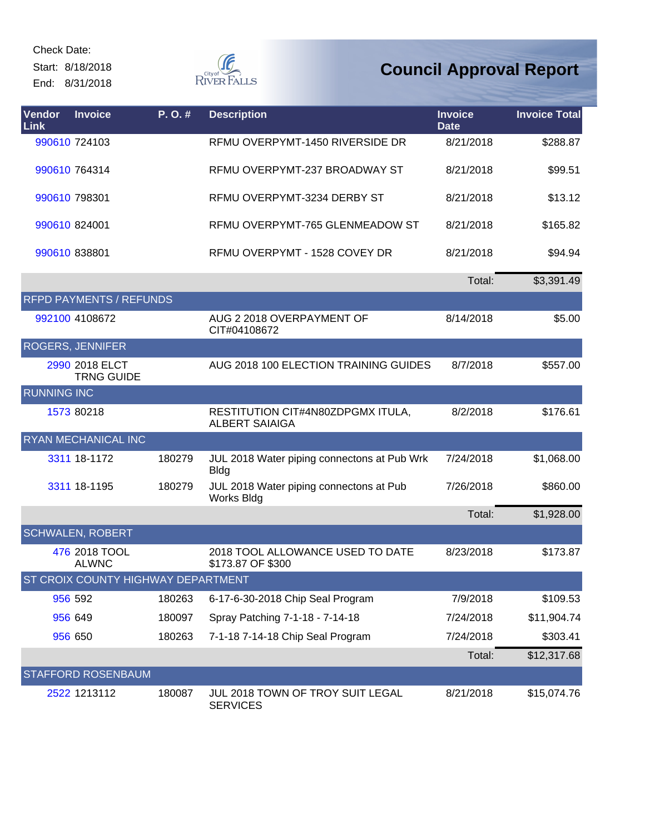Start: 8/18/2018 End: 8/31/2018



| <b>Vendor</b><br>Link | <b>Invoice</b>                      | P. O. # | <b>Description</b>                                         | <b>Invoice</b><br><b>Date</b> | <b>Invoice Total</b> |
|-----------------------|-------------------------------------|---------|------------------------------------------------------------|-------------------------------|----------------------|
|                       | 990610 724103                       |         | RFMU OVERPYMT-1450 RIVERSIDE DR                            | 8/21/2018                     | \$288.87             |
|                       | 990610 764314                       |         | RFMU OVERPYMT-237 BROADWAY ST                              | 8/21/2018                     | \$99.51              |
| 990610 798301         |                                     |         | RFMU OVERPYMT-3234 DERBY ST                                | 8/21/2018                     | \$13.12              |
| 990610 824001         |                                     |         | RFMU OVERPYMT-765 GLENMEADOW ST                            | 8/21/2018                     | \$165.82             |
| 990610 838801         |                                     |         | RFMU OVERPYMT - 1528 COVEY DR                              | 8/21/2018                     | \$94.94              |
|                       |                                     |         |                                                            | Total:                        | \$3,391.49           |
|                       | <b>RFPD PAYMENTS / REFUNDS</b>      |         |                                                            |                               |                      |
|                       | 992100 4108672                      |         | AUG 2 2018 OVERPAYMENT OF<br>CIT#04108672                  | 8/14/2018                     | \$5.00               |
|                       | ROGERS, JENNIFER                    |         |                                                            |                               |                      |
|                       | 2990 2018 ELCT<br><b>TRNG GUIDE</b> |         | AUG 2018 100 ELECTION TRAINING GUIDES                      | 8/7/2018                      | \$557.00             |
| <b>RUNNING INC</b>    |                                     |         |                                                            |                               |                      |
|                       | 1573 80218                          |         | RESTITUTION CIT#4N80ZDPGMX ITULA,<br><b>ALBERT SAIAIGA</b> | 8/2/2018                      | \$176.61             |
|                       | RYAN MECHANICAL INC                 |         |                                                            |                               |                      |
|                       | 3311 18-1172                        | 180279  | JUL 2018 Water piping connectons at Pub Wrk<br><b>Bldg</b> | 7/24/2018                     | \$1,068.00           |
|                       | 3311 18-1195                        | 180279  | JUL 2018 Water piping connectons at Pub<br>Works Bldg      | 7/26/2018                     | \$860.00             |
|                       |                                     |         |                                                            | Total:                        | \$1,928.00           |
|                       | <b>SCHWALEN, ROBERT</b>             |         |                                                            |                               |                      |
|                       | 476 2018 TOOL<br><b>ALWNC</b>       |         | 2018 TOOL ALLOWANCE USED TO DATE<br>\$173.87 OF \$300      | 8/23/2018                     | \$173.87             |
|                       | ST CROIX COUNTY HIGHWAY DEPARTMENT  |         |                                                            |                               |                      |
|                       | 956 592                             | 180263  | 6-17-6-30-2018 Chip Seal Program                           | 7/9/2018                      | \$109.53             |
|                       | 956 649                             | 180097  | Spray Patching 7-1-18 - 7-14-18                            | 7/24/2018                     | \$11,904.74          |
|                       | 956 650                             | 180263  | 7-1-18 7-14-18 Chip Seal Program                           | 7/24/2018                     | \$303.41             |
|                       |                                     |         |                                                            | Total:                        | \$12,317.68          |
|                       | STAFFORD ROSENBAUM                  |         |                                                            |                               |                      |
|                       | 2522 1213112                        | 180087  | JUL 2018 TOWN OF TROY SUIT LEGAL<br><b>SERVICES</b>        | 8/21/2018                     | \$15,074.76          |